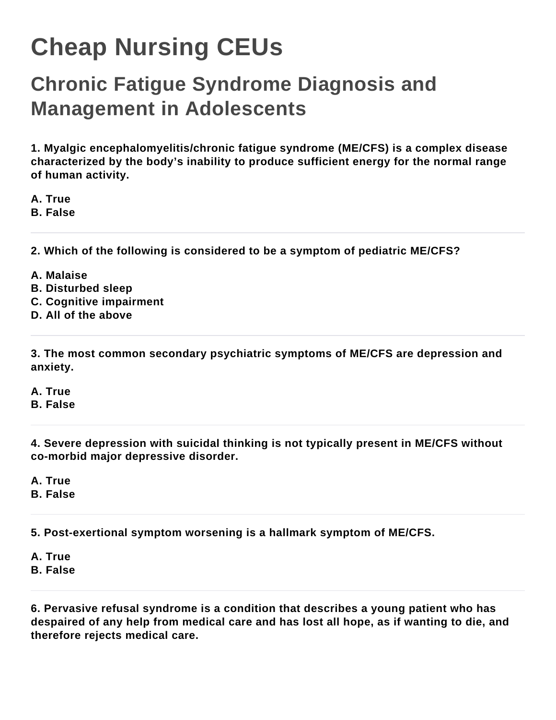## **Cheap Nursing CEUs**

## **Chronic Fatigue Syndrome Diagnosis and Management in Adolescents**

**1. Myalgic encephalomyelitis/chronic fatigue syndrome (ME/CFS) is a complex disease characterized by the body's inability to produce sufficient energy for the normal range of human activity.**

**A. True B. False**

**2. Which of the following is considered to be a symptom of pediatric ME/CFS?**

- **A. Malaise B. Disturbed sleep**
- **C. Cognitive impairment**
- **D. All of the above**

**3. The most common secondary psychiatric symptoms of ME/CFS are depression and anxiety.**

- **A. True**
- **B. False**

**4. Severe depression with suicidal thinking is not typically present in ME/CFS without co-morbid major depressive disorder.**

- **A. True**
- **B. False**

**5. Post-exertional symptom worsening is a hallmark symptom of ME/CFS.**

**A. True**

**B. False**

**6. Pervasive refusal syndrome is a condition that describes a young patient who has despaired of any help from medical care and has lost all hope, as if wanting to die, and therefore rejects medical care.**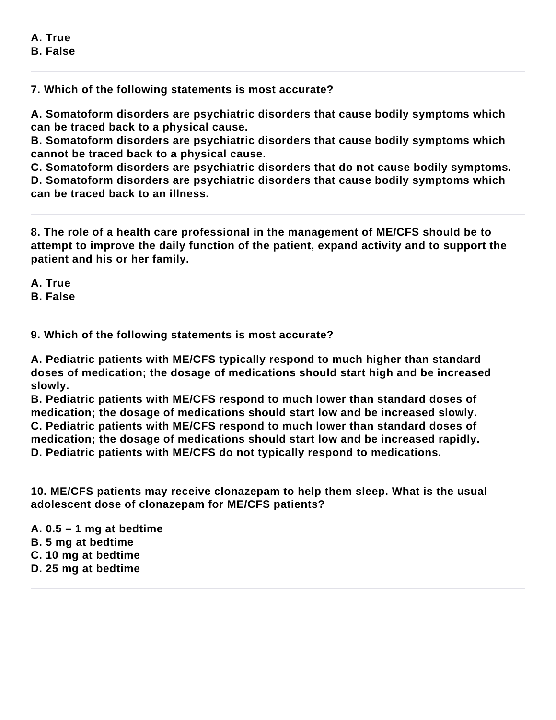**7. Which of the following statements is most accurate?**

**A. Somatoform disorders are psychiatric disorders that cause bodily symptoms which can be traced back to a physical cause.**

**B. Somatoform disorders are psychiatric disorders that cause bodily symptoms which cannot be traced back to a physical cause.**

**C. Somatoform disorders are psychiatric disorders that do not cause bodily symptoms. D. Somatoform disorders are psychiatric disorders that cause bodily symptoms which can be traced back to an illness.**

**8. The role of a health care professional in the management of ME/CFS should be to attempt to improve the daily function of the patient, expand activity and to support the patient and his or her family.**

**A. True B. False**

**9. Which of the following statements is most accurate?**

**A. Pediatric patients with ME/CFS typically respond to much higher than standard doses of medication; the dosage of medications should start high and be increased slowly.**

**B. Pediatric patients with ME/CFS respond to much lower than standard doses of medication; the dosage of medications should start low and be increased slowly. C. Pediatric patients with ME/CFS respond to much lower than standard doses of medication; the dosage of medications should start low and be increased rapidly. D. Pediatric patients with ME/CFS do not typically respond to medications.**

**10. ME/CFS patients may receive clonazepam to help them sleep. What is the usual adolescent dose of clonazepam for ME/CFS patients?**

**A. 0.5 – 1 mg at bedtime B. 5 mg at bedtime C. 10 mg at bedtime D. 25 mg at bedtime**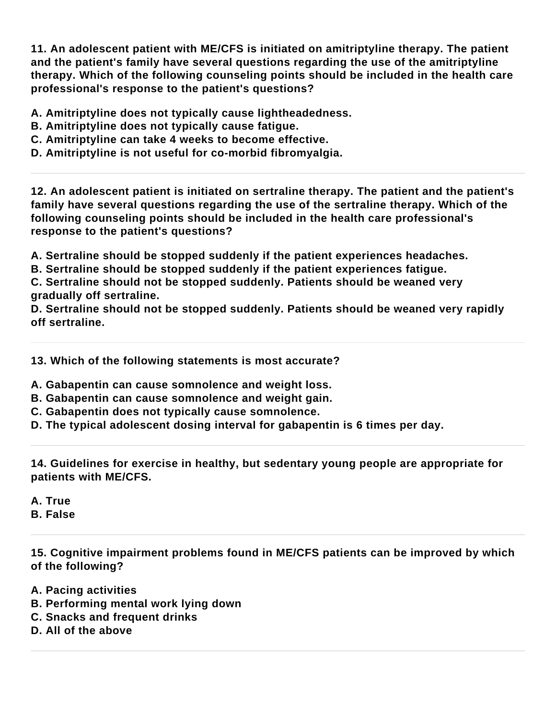**11. An adolescent patient with ME/CFS is initiated on amitriptyline therapy. The patient and the patient's family have several questions regarding the use of the amitriptyline therapy. Which of the following counseling points should be included in the health care professional's response to the patient's questions?**

**A. Amitriptyline does not typically cause lightheadedness.**

- **B. Amitriptyline does not typically cause fatigue.**
- **C. Amitriptyline can take 4 weeks to become effective.**
- **D. Amitriptyline is not useful for co-morbid fibromyalgia.**

**12. An adolescent patient is initiated on sertraline therapy. The patient and the patient's family have several questions regarding the use of the sertraline therapy. Which of the following counseling points should be included in the health care professional's response to the patient's questions?**

**A. Sertraline should be stopped suddenly if the patient experiences headaches.**

**B. Sertraline should be stopped suddenly if the patient experiences fatigue.**

**C. Sertraline should not be stopped suddenly. Patients should be weaned very gradually off sertraline.**

**D. Sertraline should not be stopped suddenly. Patients should be weaned very rapidly off sertraline.**

**13. Which of the following statements is most accurate?**

- **A. Gabapentin can cause somnolence and weight loss.**
- **B. Gabapentin can cause somnolence and weight gain.**
- **C. Gabapentin does not typically cause somnolence.**
- **D. The typical adolescent dosing interval for gabapentin is 6 times per day.**

**14. Guidelines for exercise in healthy, but sedentary young people are appropriate for patients with ME/CFS.**

- **A. True**
- **B. False**

**15. Cognitive impairment problems found in ME/CFS patients can be improved by which of the following?**

- **A. Pacing activities**
- **B. Performing mental work lying down**
- **C. Snacks and frequent drinks**
- **D. All of the above**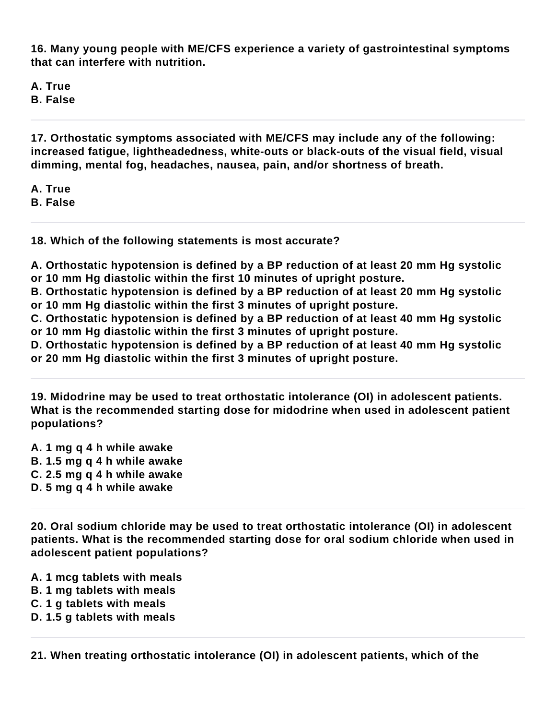**16. Many young people with ME/CFS experience a variety of gastrointestinal symptoms that can interfere with nutrition.**

**A. True B. False**

**17. Orthostatic symptoms associated with ME/CFS may include any of the following: increased fatigue, lightheadedness, white-outs or black-outs of the visual field, visual dimming, mental fog, headaches, nausea, pain, and/or shortness of breath.**

**A. True**

**B. False**

**18. Which of the following statements is most accurate?**

**A. Orthostatic hypotension is defined by a BP reduction of at least 20 mm Hg systolic or 10 mm Hg diastolic within the first 10 minutes of upright posture.**

**B. Orthostatic hypotension is defined by a BP reduction of at least 20 mm Hg systolic or 10 mm Hg diastolic within the first 3 minutes of upright posture.**

**C. Orthostatic hypotension is defined by a BP reduction of at least 40 mm Hg systolic or 10 mm Hg diastolic within the first 3 minutes of upright posture.**

**D. Orthostatic hypotension is defined by a BP reduction of at least 40 mm Hg systolic or 20 mm Hg diastolic within the first 3 minutes of upright posture.**

**19. Midodrine may be used to treat orthostatic intolerance (OI) in adolescent patients. What is the recommended starting dose for midodrine when used in adolescent patient populations?**

**A. 1 mg q 4 h while awake B. 1.5 mg q 4 h while awake C. 2.5 mg q 4 h while awake D. 5 mg q 4 h while awake**

**20. Oral sodium chloride may be used to treat orthostatic intolerance (OI) in adolescent patients. What is the recommended starting dose for oral sodium chloride when used in adolescent patient populations?**

**A. 1 mcg tablets with meals**

- **B. 1 mg tablets with meals**
- **C. 1 g tablets with meals**
- **D. 1.5 g tablets with meals**

**21. When treating orthostatic intolerance (OI) in adolescent patients, which of the**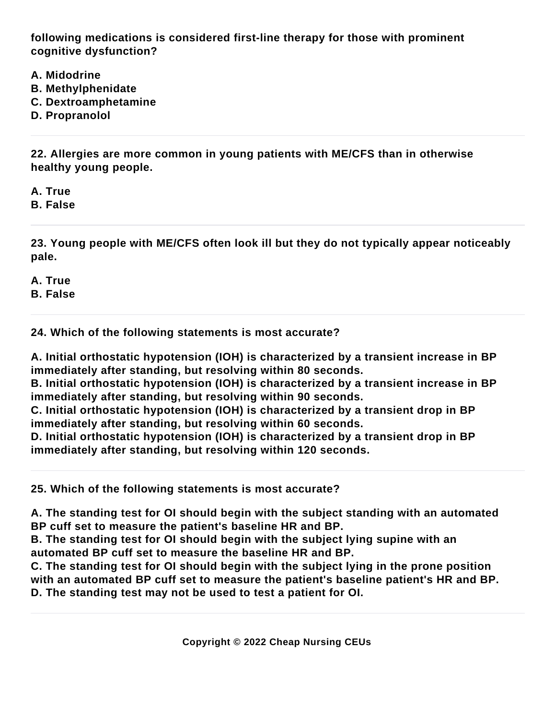**following medications is considered first-line therapy for those with prominent cognitive dysfunction?**

**A. Midodrine**

- **B. Methylphenidate**
- **C. Dextroamphetamine**
- **D. Propranolol**

**22. Allergies are more common in young patients with ME/CFS than in otherwise healthy young people.**

**A. True**

**B. False**

**23. Young people with ME/CFS often look ill but they do not typically appear noticeably pale.**

**A. True**

**B. False**

**24. Which of the following statements is most accurate?**

**A. Initial orthostatic hypotension (IOH) is characterized by a transient increase in BP immediately after standing, but resolving within 80 seconds.**

**B. Initial orthostatic hypotension (IOH) is characterized by a transient increase in BP immediately after standing, but resolving within 90 seconds.**

**C. Initial orthostatic hypotension (IOH) is characterized by a transient drop in BP immediately after standing, but resolving within 60 seconds.**

**D. Initial orthostatic hypotension (IOH) is characterized by a transient drop in BP immediately after standing, but resolving within 120 seconds.**

**25. Which of the following statements is most accurate?**

**A. The standing test for OI should begin with the subject standing with an automated BP cuff set to measure the patient's baseline HR and BP.**

**B. The standing test for OI should begin with the subject lying supine with an automated BP cuff set to measure the baseline HR and BP.**

**C. The standing test for OI should begin with the subject lying in the prone position with an automated BP cuff set to measure the patient's baseline patient's HR and BP. D. The standing test may not be used to test a patient for OI.**